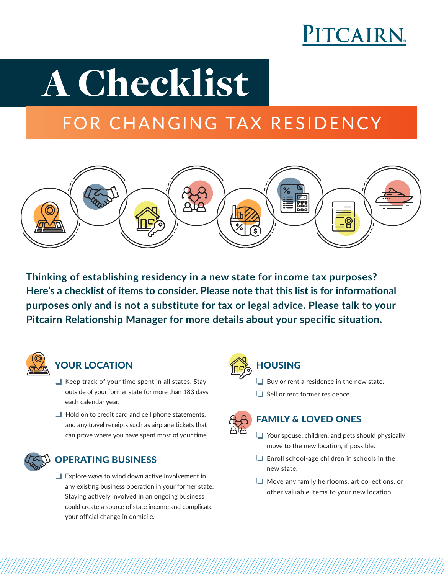

# A Checklist

### FOR CHANGING TAX RESIDENCY



**Thinking of establishing residency in a new state for income tax purposes? Here's a checklist of items to consider. Please note that this list is for informational purposes only and is not a substitute for tax or legal advice. Please talk to your Pitcairn Relationship Manager for more details about your specific situation.**



### YOUR LOCATION

- $\Box$  Keep track of your time spent in all states. Stay outside of your former state for more than 183 days each calendar year.
- $\Box$  Hold on to credit card and cell phone statements, and any travel receipts such as airplane tickets that can prove where you have spent most of your time.



### OPERATING BUSINESS

 $\Box$  Explore ways to wind down active involvement in any existing business operation in your former state. Staying actively involved in an ongoing business could create a source of state income and complicate your official change in domicile.



### **HOUSING**

- $\Box$  Buy or rent a residence in the new state.
- $\Box$  Sell or rent former residence.



### FAMILY & LOVED ONES

- $\Box$  Your spouse, children, and pets should physically move to the new location, if possible.
- $\Box$  Enroll school-age children in schools in the new state.
- $\Box$  Move any family heirlooms, art collections, or other valuable items to your new location.